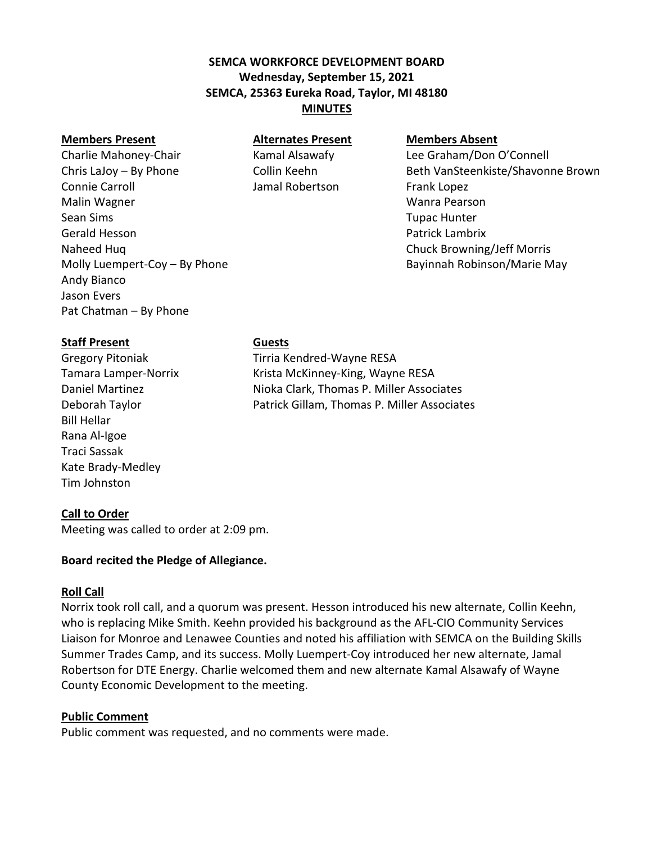# **SEMCA WORKFORCE DEVELOPMENT BOARD Wednesday, September 15, 2021 SEMCA, 25363 Eureka Road, Taylor, MI 48180 MINUTES**

#### **Members Present Alternates Present Members Absent**

Charlie Mahoney-Chair Kamal Alsawafy Lee Graham/Don O'Connell Connie Carroll **Connie Carroll** Jamal Robertson Frank Lopez Malin Wagner Wanra Pearson Sean Sims Tupac Hunter Gerald Hesson **Patrick Lambrix Contract Lambrix Patrick Lambrix** Naheed Huq Chuck Browning/Jeff Morris Andy Bianco Jason Evers Pat Chatman – By Phone

Chris LaJoy – By Phone Collin Keehn Beth VanSteenkiste/Shavonne Brown Molly Luempert-Coy – By Phone Bayinnah Robinson/Marie May

#### **Staff Present Guests**

Bill Hellar Rana Al-Igoe Traci Sassak Kate Brady-Medley Tim Johnston

**Call to Order** Meeting was called to order at 2:09 pm.

# **Board recited the Pledge of Allegiance.**

## **Roll Call**

Norrix took roll call, and a quorum was present. Hesson introduced his new alternate, Collin Keehn, who is replacing Mike Smith. Keehn provided his background as the AFL-CIO Community Services Liaison for Monroe and Lenawee Counties and noted his affiliation with SEMCA on the Building Skills Summer Trades Camp, and its success. Molly Luempert-Coy introduced her new alternate, Jamal Robertson for DTE Energy. Charlie welcomed them and new alternate Kamal Alsawafy of Wayne County Economic Development to the meeting.

## **Public Comment**

Public comment was requested, and no comments were made.

Gregory Pitoniak Tirria Kendred-Wayne RESA Tamara Lamper-Norrix Krista McKinney-King, Wayne RESA Daniel Martinez Nioka Clark, Thomas P. Miller Associates Deborah Taylor Patrick Gillam, Thomas P. Miller Associates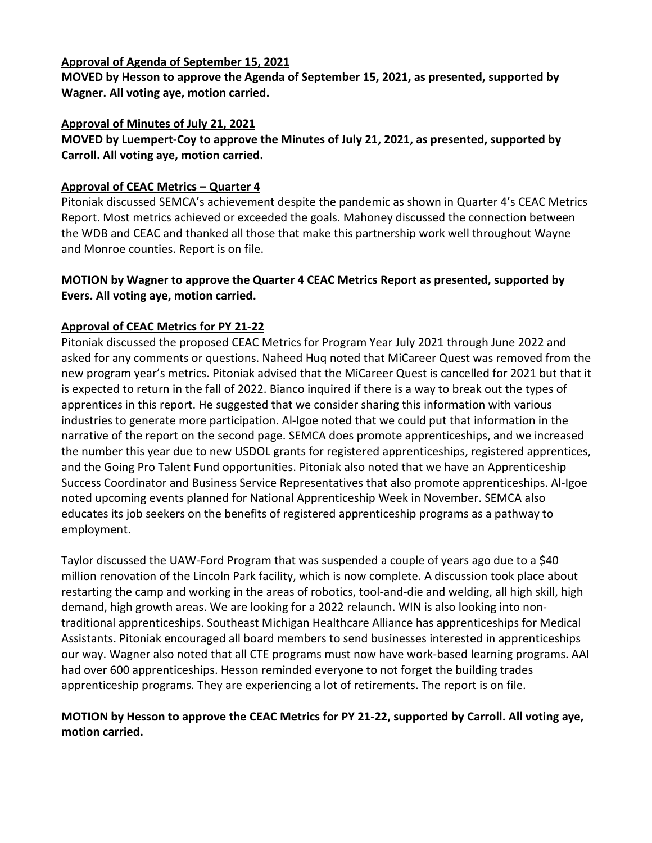#### **Approval of Agenda of September 15, 2021**

**MOVED by Hesson to approve the Agenda of September 15, 2021, as presented, supported by Wagner. All voting aye, motion carried.** 

#### **Approval of Minutes of July 21, 2021**

**MOVED by Luempert-Coy to approve the Minutes of July 21, 2021, as presented, supported by Carroll. All voting aye, motion carried.**

#### **Approval of CEAC Metrics – Quarter 4**

Pitoniak discussed SEMCA's achievement despite the pandemic as shown in Quarter 4's CEAC Metrics Report. Most metrics achieved or exceeded the goals. Mahoney discussed the connection between the WDB and CEAC and thanked all those that make this partnership work well throughout Wayne and Monroe counties. Report is on file.

#### **MOTION by Wagner to approve the Quarter 4 CEAC Metrics Report as presented, supported by Evers. All voting aye, motion carried.**

## **Approval of CEAC Metrics for PY 21-22**

Pitoniak discussed the proposed CEAC Metrics for Program Year July 2021 through June 2022 and asked for any comments or questions. Naheed Huq noted that MiCareer Quest was removed from the new program year's metrics. Pitoniak advised that the MiCareer Quest is cancelled for 2021 but that it is expected to return in the fall of 2022. Bianco inquired if there is a way to break out the types of apprentices in this report. He suggested that we consider sharing this information with various industries to generate more participation. Al-Igoe noted that we could put that information in the narrative of the report on the second page. SEMCA does promote apprenticeships, and we increased the number this year due to new USDOL grants for registered apprenticeships, registered apprentices, and the Going Pro Talent Fund opportunities. Pitoniak also noted that we have an Apprenticeship Success Coordinator and Business Service Representatives that also promote apprenticeships. Al-Igoe noted upcoming events planned for National Apprenticeship Week in November. SEMCA also educates its job seekers on the benefits of registered apprenticeship programs as a pathway to employment.

Taylor discussed the UAW-Ford Program that was suspended a couple of years ago due to a \$40 million renovation of the Lincoln Park facility, which is now complete. A discussion took place about restarting the camp and working in the areas of robotics, tool-and-die and welding, all high skill, high demand, high growth areas. We are looking for a 2022 relaunch. WIN is also looking into nontraditional apprenticeships. Southeast Michigan Healthcare Alliance has apprenticeships for Medical Assistants. Pitoniak encouraged all board members to send businesses interested in apprenticeships our way. Wagner also noted that all CTE programs must now have work-based learning programs. AAI had over 600 apprenticeships. Hesson reminded everyone to not forget the building trades apprenticeship programs. They are experiencing a lot of retirements. The report is on file.

## **MOTION by Hesson to approve the CEAC Metrics for PY 21-22, supported by Carroll. All voting aye, motion carried.**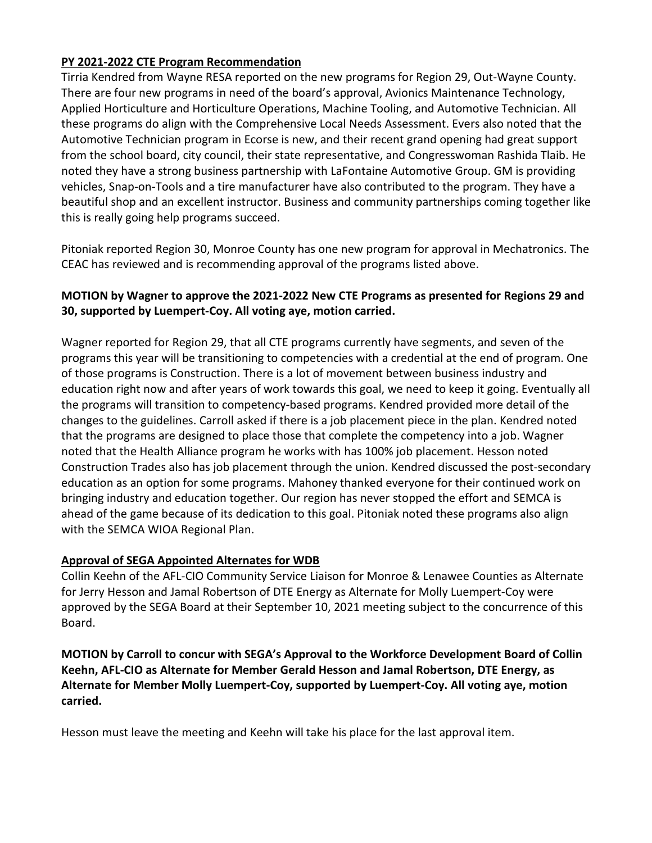## **PY 2021-2022 CTE Program Recommendation**

Tirria Kendred from Wayne RESA reported on the new programs for Region 29, Out-Wayne County. There are four new programs in need of the board's approval, Avionics Maintenance Technology, Applied Horticulture and Horticulture Operations, Machine Tooling, and Automotive Technician. All these programs do align with the Comprehensive Local Needs Assessment. Evers also noted that the Automotive Technician program in Ecorse is new, and their recent grand opening had great support from the school board, city council, their state representative, and Congresswoman Rashida Tlaib. He noted they have a strong business partnership with LaFontaine Automotive Group. GM is providing vehicles, Snap-on-Tools and a tire manufacturer have also contributed to the program. They have a beautiful shop and an excellent instructor. Business and community partnerships coming together like this is really going help programs succeed.

Pitoniak reported Region 30, Monroe County has one new program for approval in Mechatronics. The CEAC has reviewed and is recommending approval of the programs listed above.

## **MOTION by Wagner to approve the 2021-2022 New CTE Programs as presented for Regions 29 and 30, supported by Luempert-Coy. All voting aye, motion carried.**

Wagner reported for Region 29, that all CTE programs currently have segments, and seven of the programs this year will be transitioning to competencies with a credential at the end of program. One of those programs is Construction. There is a lot of movement between business industry and education right now and after years of work towards this goal, we need to keep it going. Eventually all the programs will transition to competency-based programs. Kendred provided more detail of the changes to the guidelines. Carroll asked if there is a job placement piece in the plan. Kendred noted that the programs are designed to place those that complete the competency into a job. Wagner noted that the Health Alliance program he works with has 100% job placement. Hesson noted Construction Trades also has job placement through the union. Kendred discussed the post-secondary education as an option for some programs. Mahoney thanked everyone for their continued work on bringing industry and education together. Our region has never stopped the effort and SEMCA is ahead of the game because of its dedication to this goal. Pitoniak noted these programs also align with the SEMCA WIOA Regional Plan.

## **Approval of SEGA Appointed Alternates for WDB**

Collin Keehn of the AFL-CIO Community Service Liaison for Monroe & Lenawee Counties as Alternate for Jerry Hesson and Jamal Robertson of DTE Energy as Alternate for Molly Luempert-Coy were approved by the SEGA Board at their September 10, 2021 meeting subject to the concurrence of this Board.

**MOTION by Carroll to concur with SEGA's Approval to the Workforce Development Board of Collin Keehn, AFL-CIO as Alternate for Member Gerald Hesson and Jamal Robertson, DTE Energy, as Alternate for Member Molly Luempert-Coy, supported by Luempert-Coy. All voting aye, motion carried.**

Hesson must leave the meeting and Keehn will take his place for the last approval item.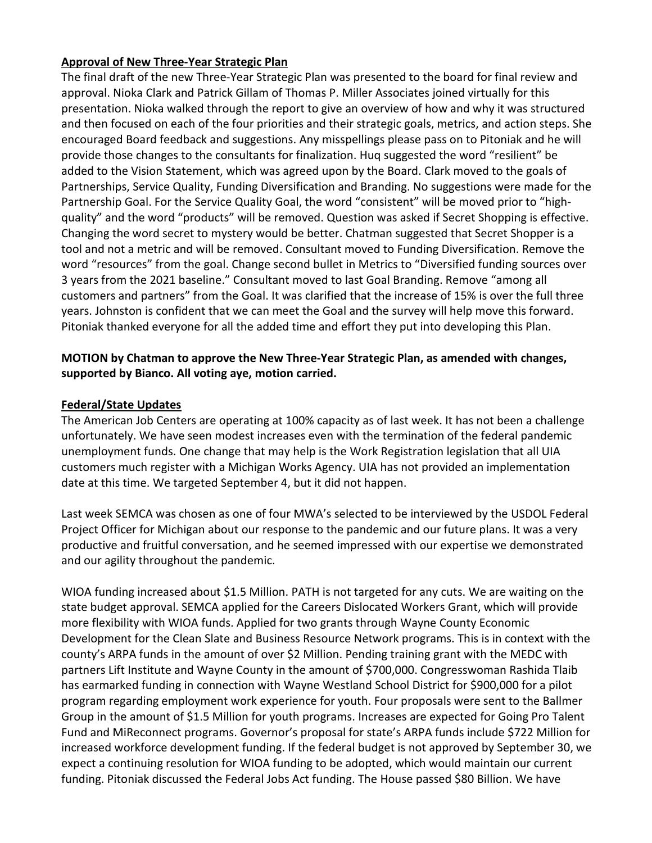## **Approval of New Three-Year Strategic Plan**

The final draft of the new Three-Year Strategic Plan was presented to the board for final review and approval. Nioka Clark and Patrick Gillam of Thomas P. Miller Associates joined virtually for this presentation. Nioka walked through the report to give an overview of how and why it was structured and then focused on each of the four priorities and their strategic goals, metrics, and action steps. She encouraged Board feedback and suggestions. Any misspellings please pass on to Pitoniak and he will provide those changes to the consultants for finalization. Huq suggested the word "resilient" be added to the Vision Statement, which was agreed upon by the Board. Clark moved to the goals of Partnerships, Service Quality, Funding Diversification and Branding. No suggestions were made for the Partnership Goal. For the Service Quality Goal, the word "consistent" will be moved prior to "highquality" and the word "products" will be removed. Question was asked if Secret Shopping is effective. Changing the word secret to mystery would be better. Chatman suggested that Secret Shopper is a tool and not a metric and will be removed. Consultant moved to Funding Diversification. Remove the word "resources" from the goal. Change second bullet in Metrics to "Diversified funding sources over 3 years from the 2021 baseline." Consultant moved to last Goal Branding. Remove "among all customers and partners" from the Goal. It was clarified that the increase of 15% is over the full three years. Johnston is confident that we can meet the Goal and the survey will help move this forward. Pitoniak thanked everyone for all the added time and effort they put into developing this Plan.

## **MOTION by Chatman to approve the New Three-Year Strategic Plan, as amended with changes, supported by Bianco. All voting aye, motion carried.**

#### **Federal/State Updates**

The American Job Centers are operating at 100% capacity as of last week. It has not been a challenge unfortunately. We have seen modest increases even with the termination of the federal pandemic unemployment funds. One change that may help is the Work Registration legislation that all UIA customers much register with a Michigan Works Agency. UIA has not provided an implementation date at this time. We targeted September 4, but it did not happen.

Last week SEMCA was chosen as one of four MWA's selected to be interviewed by the USDOL Federal Project Officer for Michigan about our response to the pandemic and our future plans. It was a very productive and fruitful conversation, and he seemed impressed with our expertise we demonstrated and our agility throughout the pandemic.

WIOA funding increased about \$1.5 Million. PATH is not targeted for any cuts. We are waiting on the state budget approval. SEMCA applied for the Careers Dislocated Workers Grant, which will provide more flexibility with WIOA funds. Applied for two grants through Wayne County Economic Development for the Clean Slate and Business Resource Network programs. This is in context with the county's ARPA funds in the amount of over \$2 Million. Pending training grant with the MEDC with partners Lift Institute and Wayne County in the amount of \$700,000. Congresswoman Rashida Tlaib has earmarked funding in connection with Wayne Westland School District for \$900,000 for a pilot program regarding employment work experience for youth. Four proposals were sent to the Ballmer Group in the amount of \$1.5 Million for youth programs. Increases are expected for Going Pro Talent Fund and MiReconnect programs. Governor's proposal for state's ARPA funds include \$722 Million for increased workforce development funding. If the federal budget is not approved by September 30, we expect a continuing resolution for WIOA funding to be adopted, which would maintain our current funding. Pitoniak discussed the Federal Jobs Act funding. The House passed \$80 Billion. We have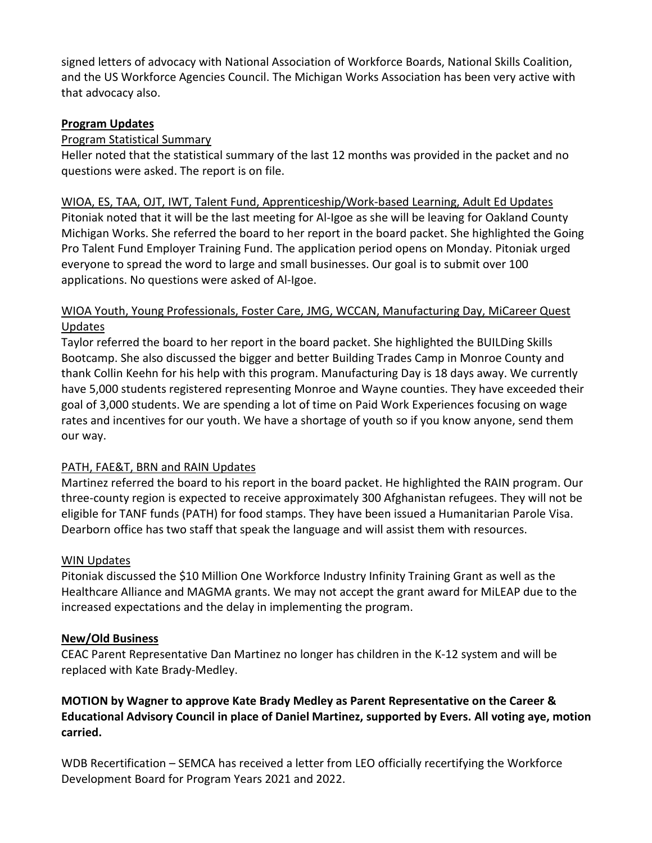signed letters of advocacy with National Association of Workforce Boards, National Skills Coalition, and the US Workforce Agencies Council. The Michigan Works Association has been very active with that advocacy also.

## **Program Updates**

#### Program Statistical Summary

Heller noted that the statistical summary of the last 12 months was provided in the packet and no questions were asked. The report is on file.

#### WIOA, ES, TAA, OJT, IWT, Talent Fund, Apprenticeship/Work-based Learning, Adult Ed Updates

Pitoniak noted that it will be the last meeting for Al-Igoe as she will be leaving for Oakland County Michigan Works. She referred the board to her report in the board packet. She highlighted the Going Pro Talent Fund Employer Training Fund. The application period opens on Monday. Pitoniak urged everyone to spread the word to large and small businesses. Our goal is to submit over 100 applications. No questions were asked of Al-Igoe.

#### WIOA Youth, Young Professionals, Foster Care, JMG, WCCAN, Manufacturing Day, MiCareer Quest Updates

Taylor referred the board to her report in the board packet. She highlighted the BUILDing Skills Bootcamp. She also discussed the bigger and better Building Trades Camp in Monroe County and thank Collin Keehn for his help with this program. Manufacturing Day is 18 days away. We currently have 5,000 students registered representing Monroe and Wayne counties. They have exceeded their goal of 3,000 students. We are spending a lot of time on Paid Work Experiences focusing on wage rates and incentives for our youth. We have a shortage of youth so if you know anyone, send them our way.

## PATH, FAE&T, BRN and RAIN Updates

Martinez referred the board to his report in the board packet. He highlighted the RAIN program. Our three-county region is expected to receive approximately 300 Afghanistan refugees. They will not be eligible for TANF funds (PATH) for food stamps. They have been issued a Humanitarian Parole Visa. Dearborn office has two staff that speak the language and will assist them with resources.

#### WIN Updates

Pitoniak discussed the \$10 Million One Workforce Industry Infinity Training Grant as well as the Healthcare Alliance and MAGMA grants. We may not accept the grant award for MiLEAP due to the increased expectations and the delay in implementing the program.

#### **New/Old Business**

CEAC Parent Representative Dan Martinez no longer has children in the K-12 system and will be replaced with Kate Brady-Medley.

## **MOTION by Wagner to approve Kate Brady Medley as Parent Representative on the Career & Educational Advisory Council in place of Daniel Martinez, supported by Evers. All voting aye, motion carried.**

WDB Recertification – SEMCA has received a letter from LEO officially recertifying the Workforce Development Board for Program Years 2021 and 2022.